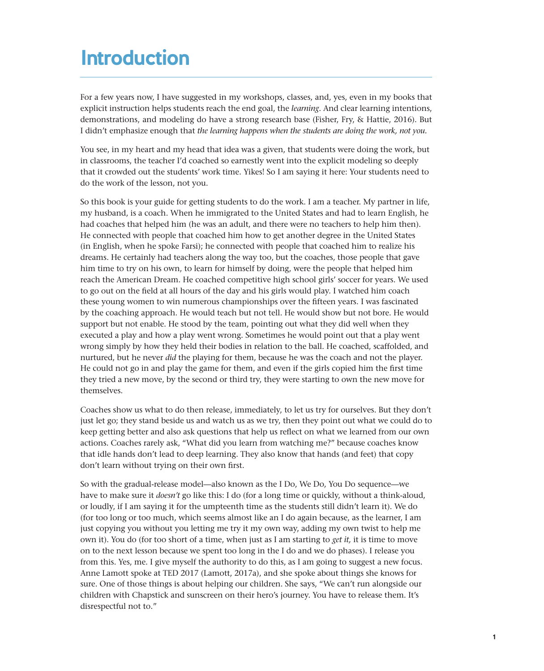# **Introduction**

For a few years now, I have suggested in my workshops, classes, and, yes, even in my books that explicit instruction helps students reach the end goal, the *learning.* And clear learning intentions, demonstrations, and modeling do have a strong research base (Fisher, Fry, & Hattie, 2016). But I didn't emphasize enough that *the learning happens when the students are doing the work, not you.*

You see, in my heart and my head that idea was a given, that students were doing the work, but in classrooms, the teacher I'd coached so earnestly went into the explicit modeling so deeply that it crowded out the students' work time. Yikes! So I am saying it here: Your students need to do the work of the lesson, not you.

So this book is your guide for getting students to do the work. I am a teacher. My partner in life, my husband, is a coach. When he immigrated to the United States and had to learn English, he had coaches that helped him (he was an adult, and there were no teachers to help him then). He connected with people that coached him how to get another degree in the United States (in English, when he spoke Farsi); he connected with people that coached him to realize his dreams. He certainly had teachers along the way too, but the coaches, those people that gave him time to try on his own, to learn for himself by doing, were the people that helped him reach the American Dream. He coached competitive high school girls' soccer for years. We used to go out on the field at all hours of the day and his girls would play. I watched him coach these young women to win numerous championships over the fifteen years. I was fascinated by the coaching approach. He would teach but not tell. He would show but not bore. He would support but not enable. He stood by the team, pointing out what they did well when they executed a play and how a play went wrong. Sometimes he would point out that a play went wrong simply by how they held their bodies in relation to the ball. He coached, scaffolded, and nurtured, but he never *did* the playing for them, because he was the coach and not the player. He could not go in and play the game for them, and even if the girls copied him the first time they tried a new move, by the second or third try, they were starting to own the new move for themselves.

Coaches show us what to do then release, immediately, to let us try for ourselves. But they don't just let go; they stand beside us and watch us as we try, then they point out what we could do to keep getting better and also ask questions that help us reflect on what we learned from our own actions. Coaches rarely ask, "What did you learn from watching me?" because coaches know that idle hands don't lead to deep learning. They also know that hands (and feet) that copy don't learn without trying on their own first.

So with the gradual-release model—also known as the I Do, We Do, You Do sequence—we have to make sure it *doesn't* go like this: I do (for a long time or quickly, without a think-aloud, or loudly, if I am saying it for the umpteenth time as the students still didn't learn it). We do (for too long or too much, which seems almost like an I do again because, as the learner, I am just copying you without you letting me try it my own way, adding my own twist to help me own it). You do (for too short of a time, when just as I am starting to *get it,* it is time to move on to the next lesson because we spent too long in the I do and we do phases). I release you from this. Yes, me. I give myself the authority to do this, as I am going to suggest a new focus. Anne Lamott spoke at TED 2017 (Lamott, 2017a), and she spoke about things she knows for sure. One of those things is about helping our children. She says, "We can't run alongside our children with Chapstick and sunscreen on their hero's journey. You have to release them. It's disrespectful not to."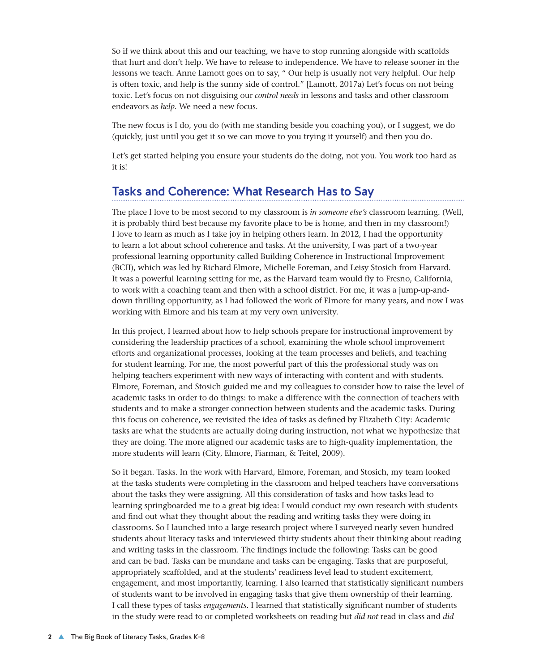So if we think about this and our teaching, we have to stop running alongside with scaffolds that hurt and don't help. We have to release to independence. We have to release sooner in the lessons we teach. Anne Lamott goes on to say, " Our help is usually not very helpful. Our help is often toxic, and help is the sunny side of control." [Lamott, 2017a) Let's focus on not being toxic. Let's focus on not disguising our *control needs* in lessons and tasks and other classroom endeavors as *help.* We need a new focus.

The new focus is I do, you do (with me standing beside you coaching you), or I suggest, we do (quickly, just until you get it so we can move to you trying it yourself) and then you do.

Let's get started helping you ensure your students do the doing, not you. You work too hard as it is!

#### Tasks and Coherence: What Research Has to Say

The place I love to be most second to my classroom is *in someone else's* classroom learning. (Well, it is probably third best because my favorite place to be is home, and then in my classroom!) I love to learn as much as I take joy in helping others learn. In 2012, I had the opportunity to learn a lot about school coherence and tasks. At the university, I was part of a two-year professional learning opportunity called Building Coherence in Instructional Improvement (BCII), which was led by Richard Elmore, Michelle Foreman, and Leisy Stosich from Harvard. It was a powerful learning setting for me, as the Harvard team would fly to Fresno, California, to work with a coaching team and then with a school district. For me, it was a jump-up-anddown thrilling opportunity, as I had followed the work of Elmore for many years, and now I was working with Elmore and his team at my very own university.

In this project, I learned about how to help schools prepare for instructional improvement by considering the leadership practices of a school, examining the whole school improvement efforts and organizational processes, looking at the team processes and beliefs, and teaching for student learning. For me, the most powerful part of this the professional study was on helping teachers experiment with new ways of interacting with content and with students. Elmore, Foreman, and Stosich guided me and my colleagues to consider how to raise the level of academic tasks in order to do things: to make a difference with the connection of teachers with students and to make a stronger connection between students and the academic tasks. During this focus on coherence, we revisited the idea of tasks as defined by Elizabeth City: Academic tasks are what the students are actually doing during instruction, not what we hypothesize that they are doing. The more aligned our academic tasks are to high-quality implementation, the more students will learn (City, Elmore, Fiarman, & Teitel, 2009).

So it began. Tasks. In the work with Harvard, Elmore, Foreman, and Stosich, my team looked at the tasks students were completing in the classroom and helped teachers have conversations about the tasks they were assigning. All this consideration of tasks and how tasks lead to learning springboarded me to a great big idea: I would conduct my own research with students and find out what they thought about the reading and writing tasks they were doing in classrooms. So I launched into a large research project where I surveyed nearly seven hundred students about literacy tasks and interviewed thirty students about their thinking about reading and writing tasks in the classroom. The findings include the following: Tasks can be good and can be bad. Tasks can be mundane and tasks can be engaging. Tasks that are purposeful, appropriately scaffolded, and at the students' readiness level lead to student excitement, engagement, and most importantly, learning. I also learned that statistically significant numbers of students want to be involved in engaging tasks that give them ownership of their learning. I call these types of tasks *engagements*. I learned that statistically significant number of students in the study were read to or completed worksheets on reading but *did not* read in class and *did*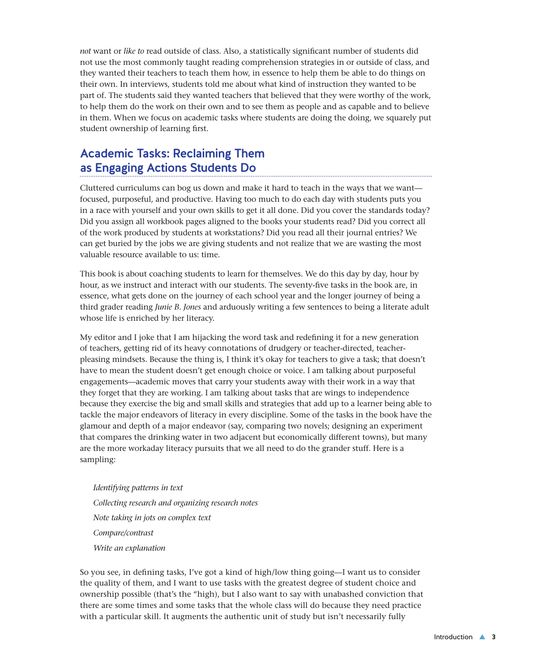*not* want or *like to* read outside of class. Also, a statistically significant number of students did not use the most commonly taught reading comprehension strategies in or outside of class, and they wanted their teachers to teach them how, in essence to help them be able to do things on their own. In interviews, students told me about what kind of instruction they wanted to be part of. The students said they wanted teachers that believed that they were worthy of the work, to help them do the work on their own and to see them as people and as capable and to believe in them. When we focus on academic tasks where students are doing the doing, we squarely put student ownership of learning first.

## Academic Tasks: Reclaiming Them as Engaging Actions Students Do

Cluttered curriculums can bog us down and make it hard to teach in the ways that we want focused, purposeful, and productive. Having too much to do each day with students puts you in a race with yourself and your own skills to get it all done. Did you cover the standards today? Did you assign all workbook pages aligned to the books your students read? Did you correct all of the work produced by students at workstations? Did you read all their journal entries? We can get buried by the jobs we are giving students and not realize that we are wasting the most valuable resource available to us: time.

This book is about coaching students to learn for themselves. We do this day by day, hour by hour, as we instruct and interact with our students. The seventy-five tasks in the book are, in essence, what gets done on the journey of each school year and the longer journey of being a third grader reading *Junie B. Jones* and arduously writing a few sentences to being a literate adult whose life is enriched by her literacy.

My editor and I joke that I am hijacking the word task and redefining it for a new generation of teachers, getting rid of its heavy connotations of drudgery or teacher-directed, teacherpleasing mindsets. Because the thing is, I think it's okay for teachers to give a task; that doesn't have to mean the student doesn't get enough choice or voice. I am talking about purposeful engagements—academic moves that carry your students away with their work in a way that they forget that they are working. I am talking about tasks that are wings to independence because they exercise the big and small skills and strategies that add up to a learner being able to tackle the major endeavors of literacy in every discipline. Some of the tasks in the book have the glamour and depth of a major endeavor (say, comparing two novels; designing an experiment that compares the drinking water in two adjacent but economically different towns), but many are the more workaday literacy pursuits that we all need to do the grander stuff. Here is a sampling:

*Identifying patterns in text Collecting research and organizing research notes Note taking in jots on complex text Compare/contrast Write an explanation*

So you see, in defining tasks, I've got a kind of high/low thing going—I want us to consider the quality of them, and I want to use tasks with the greatest degree of student choice and ownership possible (that's the "high), but I also want to say with unabashed conviction that there are some times and some tasks that the whole class will do because they need practice with a particular skill. It augments the authentic unit of study but isn't necessarily fully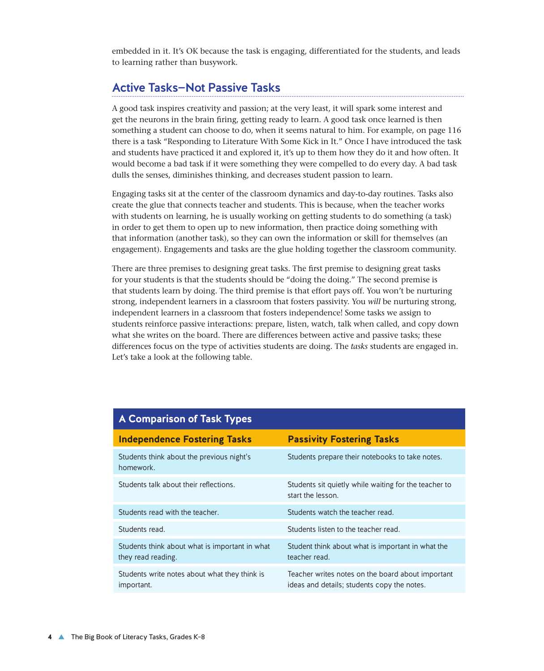embedded in it. It's OK because the task is engaging, differentiated for the students, and leads to learning rather than busywork.

#### Active Tasks—Not Passive Tasks

A good task inspires creativity and passion; at the very least, it will spark some interest and get the neurons in the brain firing, getting ready to learn. A good task once learned is then something a student can choose to do, when it seems natural to him. For example, on page 116 there is a task "Responding to Literature With Some Kick in It." Once I have introduced the task and students have practiced it and explored it, it's up to them how they do it and how often. It would become a bad task if it were something they were compelled to do every day. A bad task dulls the senses, diminishes thinking, and decreases student passion to learn.

Engaging tasks sit at the center of the classroom dynamics and day-to-day routines. Tasks also create the glue that connects teacher and students. This is because, when the teacher works with students on learning, he is usually working on getting students to do something (a task) in order to get them to open up to new information, then practice doing something with that information (another task), so they can own the information or skill for themselves (an engagement). Engagements and tasks are the glue holding together the classroom community.

There are three premises to designing great tasks. The first premise to designing great tasks for your students is that the students should be "doing the doing." The second premise is that students learn by doing. The third premise is that effort pays off. You won't be nurturing strong, independent learners in a classroom that fosters passivity. You *will* be nurturing strong, independent learners in a classroom that fosters independence! Some tasks we assign to students reinforce passive interactions: prepare, listen, watch, talk when called, and copy down what she writes on the board. There are differences between active and passive tasks; these differences focus on the type of activities students are doing. The *tasks* students are engaged in. Let's take a look at the following table.

| A Comparison of Task Types                                           |                                                                                                  |
|----------------------------------------------------------------------|--------------------------------------------------------------------------------------------------|
| <b>Independence Fostering Tasks</b>                                  | <b>Passivity Fostering Tasks</b>                                                                 |
| Students think about the previous night's<br>homework.               | Students prepare their notebooks to take notes.                                                  |
| Students talk about their reflections.                               | Students sit quietly while waiting for the teacher to<br>start the lesson.                       |
| Students read with the teacher.                                      | Students watch the teacher read.                                                                 |
| Students read.                                                       | Students listen to the teacher read.                                                             |
| Students think about what is important in what<br>they read reading. | Student think about what is important in what the<br>teacher read.                               |
| Students write notes about what they think is<br>important.          | Teacher writes notes on the board about important<br>ideas and details; students copy the notes. |

#### **A Comparison of Task Types**